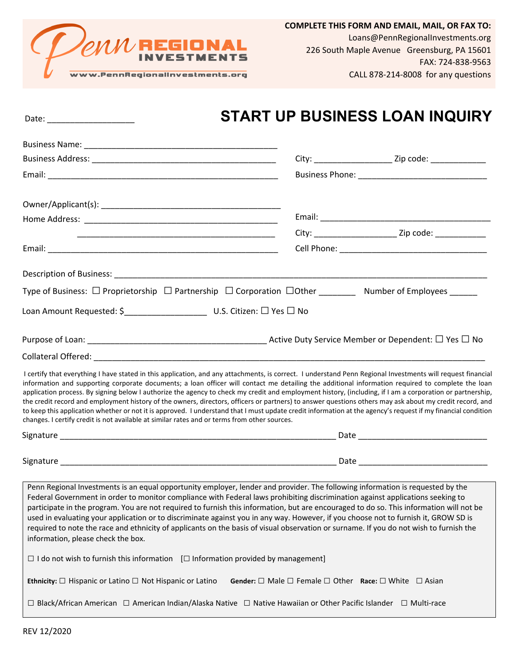

## Date: \_\_\_\_\_\_\_\_\_\_\_\_\_\_\_\_\_\_\_ **START UP BUSINESS LOAN INQUIRY**

|                                                                                                                                                                                                                                                                                                                                                                                                                                                                                                                                                                                                                                                                                                                                                                                                                                                                                                          |                                                                                       | City: ___________________________________ Zip code: ____________________________ |  |
|----------------------------------------------------------------------------------------------------------------------------------------------------------------------------------------------------------------------------------------------------------------------------------------------------------------------------------------------------------------------------------------------------------------------------------------------------------------------------------------------------------------------------------------------------------------------------------------------------------------------------------------------------------------------------------------------------------------------------------------------------------------------------------------------------------------------------------------------------------------------------------------------------------|---------------------------------------------------------------------------------------|----------------------------------------------------------------------------------|--|
|                                                                                                                                                                                                                                                                                                                                                                                                                                                                                                                                                                                                                                                                                                                                                                                                                                                                                                          |                                                                                       |                                                                                  |  |
|                                                                                                                                                                                                                                                                                                                                                                                                                                                                                                                                                                                                                                                                                                                                                                                                                                                                                                          |                                                                                       |                                                                                  |  |
|                                                                                                                                                                                                                                                                                                                                                                                                                                                                                                                                                                                                                                                                                                                                                                                                                                                                                                          |                                                                                       |                                                                                  |  |
|                                                                                                                                                                                                                                                                                                                                                                                                                                                                                                                                                                                                                                                                                                                                                                                                                                                                                                          |                                                                                       | City: __________________________________ Zip code: ________________              |  |
|                                                                                                                                                                                                                                                                                                                                                                                                                                                                                                                                                                                                                                                                                                                                                                                                                                                                                                          |                                                                                       |                                                                                  |  |
|                                                                                                                                                                                                                                                                                                                                                                                                                                                                                                                                                                                                                                                                                                                                                                                                                                                                                                          |                                                                                       |                                                                                  |  |
| Type of Business: $\Box$ Proprietorship $\Box$ Partnership $\Box$ Corporation $\Box$ Other _____________ Number of Employees ______                                                                                                                                                                                                                                                                                                                                                                                                                                                                                                                                                                                                                                                                                                                                                                      |                                                                                       |                                                                                  |  |
|                                                                                                                                                                                                                                                                                                                                                                                                                                                                                                                                                                                                                                                                                                                                                                                                                                                                                                          |                                                                                       |                                                                                  |  |
|                                                                                                                                                                                                                                                                                                                                                                                                                                                                                                                                                                                                                                                                                                                                                                                                                                                                                                          |                                                                                       |                                                                                  |  |
|                                                                                                                                                                                                                                                                                                                                                                                                                                                                                                                                                                                                                                                                                                                                                                                                                                                                                                          |                                                                                       |                                                                                  |  |
| I certify that everything I have stated in this application, and any attachments, is correct. I understand Penn Regional Investments will request financial<br>information and supporting corporate documents; a loan officer will contact me detailing the additional information required to complete the loan<br>application process. By signing below I authorize the agency to check my credit and employment history, (including, if I am a corporation or partnership,<br>the credit record and employment history of the owners, directors, officers or partners) to answer questions others may ask about my credit record, and<br>to keep this application whether or not it is approved. I understand that I must update credit information at the agency's request if my financial condition<br>changes. I certify credit is not available at similar rates and or terms from other sources. |                                                                                       |                                                                                  |  |
|                                                                                                                                                                                                                                                                                                                                                                                                                                                                                                                                                                                                                                                                                                                                                                                                                                                                                                          |                                                                                       |                                                                                  |  |
|                                                                                                                                                                                                                                                                                                                                                                                                                                                                                                                                                                                                                                                                                                                                                                                                                                                                                                          |                                                                                       |                                                                                  |  |
| Penn Regional Investments is an equal opportunity employer, lender and provider. The following information is requested by the<br>Federal Government in order to monitor compliance with Federal laws prohibiting discrimination against applications seeking to<br>participate in the program. You are not required to furnish this information, but are encouraged to do so. This information will not be<br>used in evaluating your application or to discriminate against you in any way. However, if you choose not to furnish it, GROW SD is<br>required to note the race and ethnicity of applicants on the basis of visual observation or surname. If you do not wish to furnish the<br>information, please check the box.                                                                                                                                                                       |                                                                                       |                                                                                  |  |
| $\Box$ I do not wish to furnish this information $\Box$ Information provided by management]                                                                                                                                                                                                                                                                                                                                                                                                                                                                                                                                                                                                                                                                                                                                                                                                              |                                                                                       |                                                                                  |  |
| Ethnicity: $\Box$ Hispanic or Latino $\Box$ Not Hispanic or Latino                                                                                                                                                                                                                                                                                                                                                                                                                                                                                                                                                                                                                                                                                                                                                                                                                                       | <b>Gender:</b> $\Box$ Male $\Box$ Female $\Box$ Other Race: $\Box$ White $\Box$ Asian |                                                                                  |  |
| □ Black/African American □ American Indian/Alaska Native □ Native Hawaiian or Other Pacific Islander □ Multi-race                                                                                                                                                                                                                                                                                                                                                                                                                                                                                                                                                                                                                                                                                                                                                                                        |                                                                                       |                                                                                  |  |